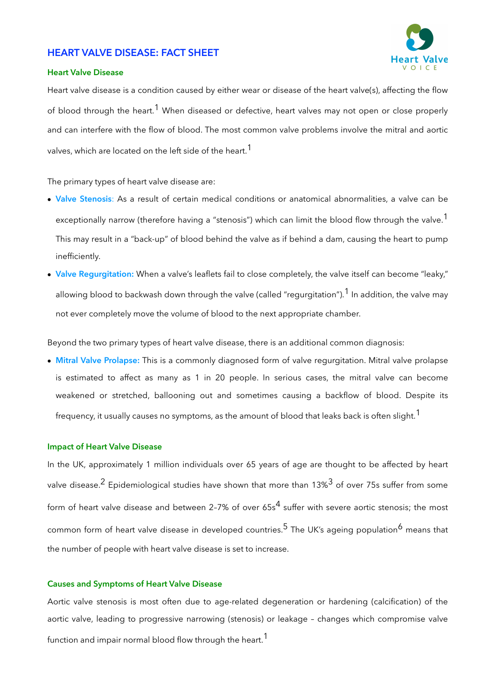# **HEART VALVE DISEASE: FACT SHEET**



### **Heart Valve Disease**

Heart valve disease is a condition caused by either wear or disease of the heart valve(s), affecting the flow of blood through the heart.<sup>1</sup> When diseased or defective, heart valves may not open or close properly and can interfere with the flow of blood. The most common valve problems involve the mitral and aortic valves, which are located on the left side of the heart.<sup>1</sup>

The primary types of heart valve disease are:

- **Valve Stenosis**: As a result of certain medical conditions or anatomical abnormalities, a valve can be exceptionally narrow (therefore having a "stenosis") which can limit the blood flow through the valve.<sup>1</sup> This may result in a "back-up" of blood behind the valve as if behind a dam, causing the heart to pump inefficiently.
- **Valve Regurgitation:** When a valve's leaflets fail to close completely, the valve itself can become "leaky," allowing blood to backwash down through the valve (called "regurgitation").<sup>1</sup> In addition, the valve may not ever completely move the volume of blood to the next appropriate chamber.

Beyond the two primary types of heart valve disease, there is an additional common diagnosis:

• **Mitral Valve Prolapse:** This is a commonly diagnosed form of valve regurgitation. Mitral valve prolapse is estimated to affect as many as 1 in 20 people. In serious cases, the mitral valve can become weakened or stretched, ballooning out and sometimes causing a backflow of blood. Despite its frequency, it usually causes no symptoms, as the amount of blood that leaks back is often slight.<sup>1</sup>

### **Impact of Heart Valve Disease**

In the UK, approximately 1 million individuals over 65 years of age are thought to be affected by heart valve disease.<sup>2</sup> Epidemiological studies have shown that more than 13%<sup>3</sup> of over 75s suffer from some form of heart valve disease and between 2-7% of over  $65s<sup>4</sup>$  suffer with severe aortic stenosis; the most common form of heart valve disease in developed countries.<sup>5</sup> The UK's ageing population<sup>6</sup> means that the number of people with heart valve disease is set to increase.

#### **Causes and Symptoms of Heart Valve Disease**

Aortic valve stenosis is most often due to age-related degeneration or hardening (calcification) of the aortic valve, leading to progressive narrowing (stenosis) or leakage – changes which compromise valve function and impair normal blood flow through the heart.<sup>1</sup>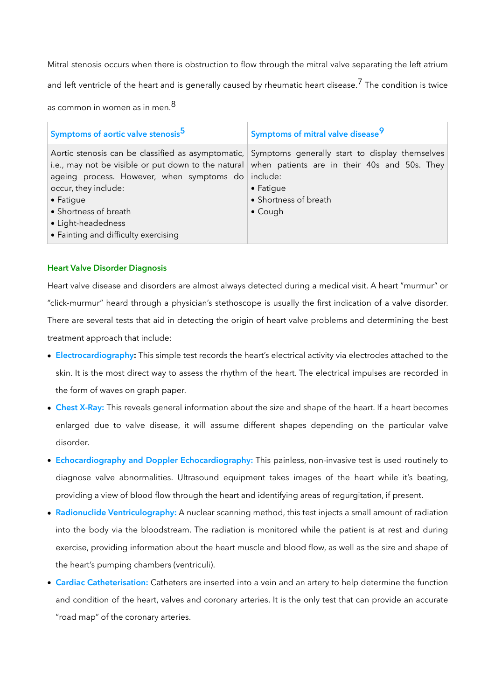Mitral stenosis occurs when there is obstruction to flow through the mitral valve separating the left atrium and left ventricle of the heart and is generally caused by rheumatic heart disease.<sup>7</sup> The condition is twice

as common in women as in men. $8$ 

| Symptoms of aortic valve stenosis <sup>5</sup>                                                                                                                                         | Symptoms of mitral valve disease <sup>9</sup>                                                                                                                                                                                                                          |
|----------------------------------------------------------------------------------------------------------------------------------------------------------------------------------------|------------------------------------------------------------------------------------------------------------------------------------------------------------------------------------------------------------------------------------------------------------------------|
| ageing process. However, when symptoms do include:<br>occur, they include:<br>$\bullet$ Fatigue<br>• Shortness of breath<br>• Light-headedness<br>• Fainting and difficulty exercising | Aortic stenosis can be classified as asymptomatic, Symptoms generally start to display themselves<br>i.e., may not be visible or put down to the natural when patients are in their 40s and 50s. They<br>$\bullet$ Fatigue<br>• Shortness of breath<br>$\bullet$ Cough |

# **Heart Valve Disorder Diagnosis**

Heart valve disease and disorders are almost always detected during a medical visit. A heart "murmur" or "click-murmur" heard through a physician's stethoscope is usually the first indication of a valve disorder. There are several tests that aid in detecting the origin of heart valve problems and determining the best treatment approach that include:

- **Electrocardiography:** This simple test records the heart's electrical activity via electrodes attached to the skin. It is the most direct way to assess the rhythm of the heart. The electrical impulses are recorded in the form of waves on graph paper.
- **Chest X-Ray:** This reveals general information about the size and shape of the heart. If a heart becomes enlarged due to valve disease, it will assume different shapes depending on the particular valve disorder.
- **Echocardiography and Doppler Echocardiography:** This painless, non-invasive test is used routinely to diagnose valve abnormalities. Ultrasound equipment takes images of the heart while it's beating, providing a view of blood flow through the heart and identifying areas of regurgitation, if present.
- **Radionuclide Ventriculography:** A nuclear scanning method, this test injects a small amount of radiation into the body via the bloodstream. The radiation is monitored while the patient is at rest and during exercise, providing information about the heart muscle and blood flow, as well as the size and shape of the heart's pumping chambers (ventriculi).
- **Cardiac Catheterisation:** Catheters are inserted into a vein and an artery to help determine the function and condition of the heart, valves and coronary arteries. It is the only test that can provide an accurate "road map" of the coronary arteries.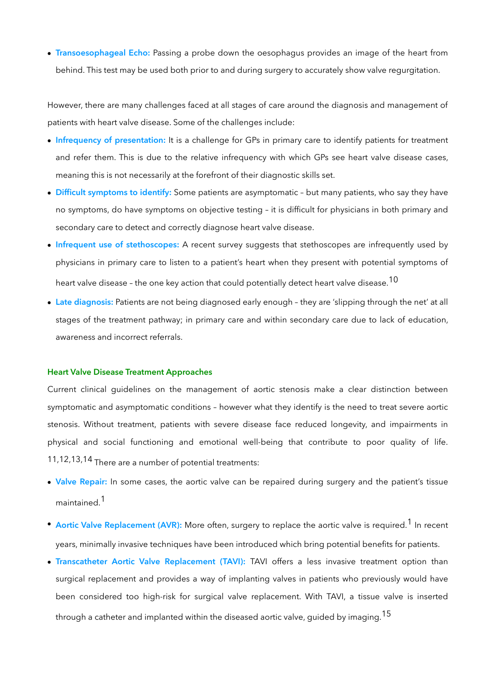• **Transoesophageal Echo:** Passing a probe down the oesophagus provides an image of the heart from behind. This test may be used both prior to and during surgery to accurately show valve regurgitation.

However, there are many challenges faced at all stages of care around the diagnosis and management of patients with heart valve disease. Some of the challenges include:

- **Infrequency of presentation:** It is a challenge for GPs in primary care to identify patients for treatment and refer them. This is due to the relative infrequency with which GPs see heart valve disease cases, meaning this is not necessarily at the forefront of their diagnostic skills set.
- **Difficult symptoms to identify:** Some patients are asymptomatic but many patients, who say they have no symptoms, do have symptoms on objective testing – it is difficult for physicians in both primary and secondary care to detect and correctly diagnose heart valve disease.
- **Infrequent use of stethoscopes:** A recent survey suggests that stethoscopes are infrequently used by physicians in primary care to listen to a patient's heart when they present with potential symptoms of heart valve disease - the one key action that could potentially detect heart valve disease.<sup>10</sup>
- **Late diagnosis:** Patients are not being diagnosed early enough they are 'slipping through the net' at all stages of the treatment pathway; in primary care and within secondary care due to lack of education, awareness and incorrect referrals.

#### **Heart Valve Disease Treatment Approaches**

Current clinical guidelines on the management of aortic stenosis make a clear distinction between symptomatic and asymptomatic conditions – however what they identify is the need to treat severe aortic stenosis. Without treatment, patients with severe disease face reduced longevity, and impairments in physical and social functioning and emotional well-being that contribute to poor quality of life. 11,12,13,14 There are a number of potential treatments:

- **Valve Repair:** In some cases, the aortic valve can be repaired during surgery and the patient's tissue maintained<sup>1</sup>
- **Aortic Valve Replacement (AVR):** More often, surgery to replace the aortic valve is required.<sup>1</sup> In recent years, minimally invasive techniques have been introduced which bring potential benefits for patients.
- **Transcatheter Aortic Valve Replacement (TAVI):** TAVI offers a less invasive treatment option than surgical replacement and provides a way of implanting valves in patients who previously would have been considered too high-risk for surgical valve replacement. With TAVI, a tissue valve is inserted through a catheter and implanted within the diseased aortic valve, quided by imaging.<sup>15</sup>